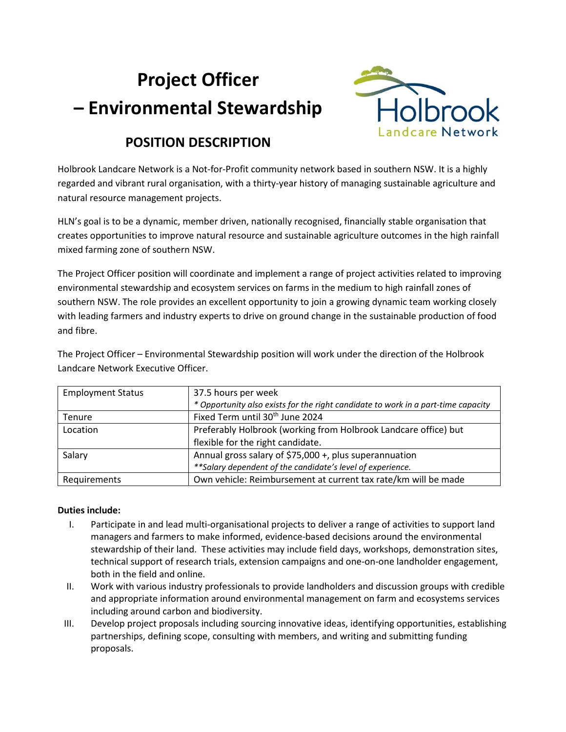# **Project Officer – Environmental Stewardship**



# **POSITION DESCRIPTION**

Holbrook Landcare Network is a Not-for-Profit community network based in southern NSW. It is a highly regarded and vibrant rural organisation, with a thirty-year history of managing sustainable agriculture and natural resource management projects.

HLN's goal is to be a dynamic, member driven, nationally recognised, financially stable organisation that creates opportunities to improve natural resource and sustainable agriculture outcomes in the high rainfall mixed farming zone of southern NSW.

The Project Officer position will coordinate and implement a range of project activities related to improving environmental stewardship and ecosystem services on farms in the medium to high rainfall zones of southern NSW. The role provides an excellent opportunity to join a growing dynamic team working closely with leading farmers and industry experts to drive on ground change in the sustainable production of food and fibre.

| Landcare Network Executive Officer. |                                                                                   |
|-------------------------------------|-----------------------------------------------------------------------------------|
| <b>Employment Status</b>            | 37.5 hours per week                                                               |
|                                     | * Opportunity also exists for the right candidate to work in a part-time capacity |
| Tenure                              | Fixed Term until 30 <sup>th</sup> June 2024                                       |
|                                     |                                                                                   |

The Project Officer – Environmental Stewardship position will work under the direction of the Holbrook Landcare Network Executive Officer.

| Tenure       | FIXED TEITH UNUITSUE JUNE 2024                                  |
|--------------|-----------------------------------------------------------------|
| Location     | Preferably Holbrook (working from Holbrook Landcare office) but |
|              | flexible for the right candidate.                               |
| Salary       | Annual gross salary of \$75,000 +, plus superannuation          |
|              | ** Salary dependent of the candidate's level of experience.     |
| Requirements | Own vehicle: Reimbursement at current tax rate/km will be made  |

## **Duties include:**

- I. Participate in and lead multi-organisational projects to deliver a range of activities to support land managers and farmers to make informed, evidence-based decisions around the environmental stewardship of their land. These activities may include field days, workshops, demonstration sites, technical support of research trials, extension campaigns and one-on-one landholder engagement, both in the field and online.
- II. Work with various industry professionals to provide landholders and discussion groups with credible and appropriate information around environmental management on farm and ecosystems services including around carbon and biodiversity.
- III. Develop project proposals including sourcing innovative ideas, identifying opportunities, establishing partnerships, defining scope, consulting with members, and writing and submitting funding proposals.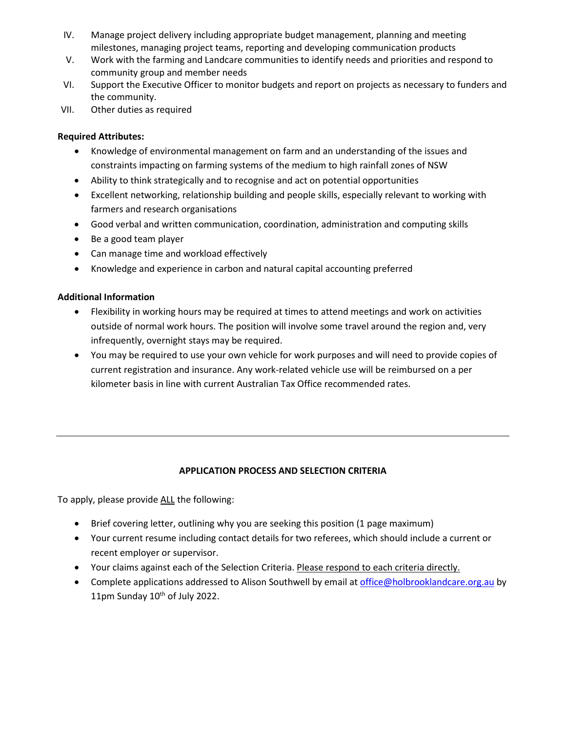- IV. Manage project delivery including appropriate budget management, planning and meeting milestones, managing project teams, reporting and developing communication products
- V. Work with the farming and Landcare communities to identify needs and priorities and respond to community group and member needs
- VI. Support the Executive Officer to monitor budgets and report on projects as necessary to funders and the community.
- VII. Other duties as required

#### **Required Attributes:**

- Knowledge of environmental management on farm and an understanding of the issues and constraints impacting on farming systems of the medium to high rainfall zones of NSW
- Ability to think strategically and to recognise and act on potential opportunities
- Excellent networking, relationship building and people skills, especially relevant to working with farmers and research organisations
- Good verbal and written communication, coordination, administration and computing skills
- Be a good team player
- Can manage time and workload effectively
- Knowledge and experience in carbon and natural capital accounting preferred

## **Additional Information**

- Flexibility in working hours may be required at times to attend meetings and work on activities outside of normal work hours. The position will involve some travel around the region and, very infrequently, overnight stays may be required.
- You may be required to use your own vehicle for work purposes and will need to provide copies of current registration and insurance. Any work-related vehicle use will be reimbursed on a per kilometer basis in line with current Australian Tax Office recommended rates.

## **APPLICATION PROCESS AND SELECTION CRITERIA**

To apply, please provide ALL the following:

- Brief covering letter, outlining why you are seeking this position (1 page maximum)
- Your current resume including contact details for two referees, which should include a current or recent employer or supervisor.
- Your claims against each of the Selection Criteria. Please respond to each criteria directly.
- Complete applications addressed to Alison Southwell by email a[t office@holbrooklandcare.org.au](mailto:office@holbrooklandcare.org.au) by 11pm Sunday 10<sup>th</sup> of July 2022.